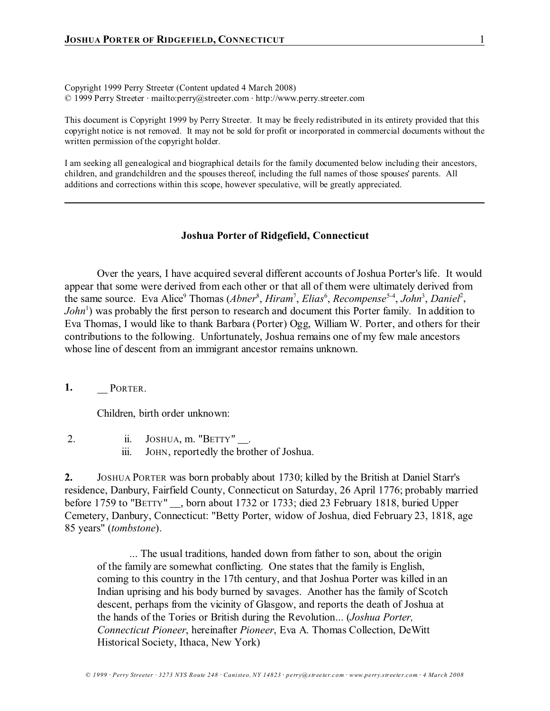Copyright 1999 Perry Streeter (Content updated 4 March 2008) © 1999 Perry Streeter · mailto:perry@streeter.com · http://www.perry.streeter.com

This document is Copyright 1999 by Perry Streeter. It may be freely redistributed in its entirety provided that this copyright notice is not removed. It may not be sold for profit or incorporated in commercial documents without the written permission of the copyright holder.

I am seeking all genealogical and biographical details for the family documented below including their ancestors, children, and grandchildren and the spouses thereof, including the full names of those spouses' parents. All additions and corrections within this scope, however speculative, will be greatly appreciated.

## **Joshua Porter of Ridgefield, Connecticut**

Over the years, I have acquired several different accounts of Joshua Porter's life. It would appear that some were derived from each other or that all of them were ultimately derived from the same source. Eva Alice<sup>9</sup> Thomas (Abner<sup>8</sup>, Hiram<sup>7</sup>, Elias<sup>6</sup>, Recompense<sup>5-4</sup>, John<sup>3</sup>, Daniel<sup>2</sup>, *John*<sup>1</sup>) was probably the first person to research and document this Porter family. In addition to Eva Thomas, I would like to thank Barbara (Porter) Ogg, William W. Porter, and others for their contributions to the following. Unfortunately, Joshua remains one of my few male ancestors whose line of descent from an immigrant ancestor remains unknown.

**1.** PORTER.

Children, birth order unknown:

- 2. ii. JOSHUA, m. "BETTY" ...
	- iii. JOHN, reportedly the brother of Joshua.

**2.** JOSHUA PORTER was born probably about 1730; killed by the British at Daniel Starr's residence, Danbury, Fairfield County, Connecticut on Saturday, 26 April 1776; probably married before 1759 to "BETTY" , born about 1732 or 1733; died 23 February 1818, buried Upper Cemetery, Danbury, Connecticut: "Betty Porter, widow of Joshua, died February 23, 1818, age 85 years" (*tombstone*).

... The usual traditions, handed down from father to son, about the origin of the family are somewhat conflicting. One states that the family is English, coming to this country in the 17th century, and that Joshua Porter was killed in an Indian uprising and his body burned by savages. Another has the family of Scotch descent, perhaps from the vicinity of Glasgow, and reports the death of Joshua at the hands of the Tories or British during the Revolution... (*Joshua Porter, Connecticut Pioneer*, hereinafter *Pioneer*, Eva A. Thomas Collection, DeWitt Historical Society, Ithaca, New York)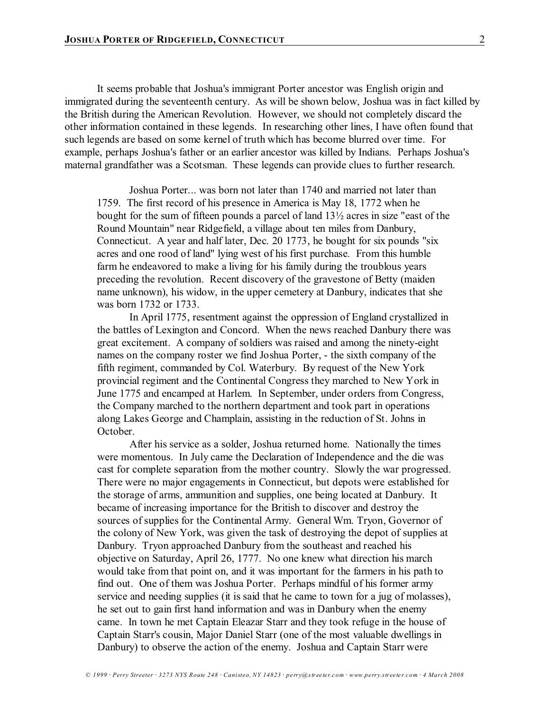It seems probable that Joshua's immigrant Porter ancestor was English origin and immigrated during the seventeenth century. As will be shown below, Joshua was in fact killed by the British during the American Revolution. However, we should not completely discard the other information contained in these legends. In researching other lines, I have often found that such legends are based on some kernel of truth which has become blurred over time. For example, perhaps Joshua's father or an earlier ancestor was killed by Indians. Perhaps Joshua's maternal grandfather was a Scotsman. These legends can provide clues to further research.

Joshua Porter... was born not later than 1740 and married not later than 1759. The first record of his presence in America is May 18, 1772 when he bought for the sum of fifteen pounds a parcel of land 13½ acres in size "east of the Round Mountain" near Ridgefield, a village about ten miles from Danbury, Connecticut. A year and half later, Dec. 20 1773, he bought for six pounds "six acres and one rood of land" lying west of his first purchase. From this humble farm he endeavored to make a living for his family during the troublous years preceding the revolution. Recent discovery of the gravestone of Betty (maiden name unknown), his widow, in the upper cemetery at Danbury, indicates that she was born 1732 or 1733.

In April 1775, resentment against the oppression of England crystallized in the battles of Lexington and Concord. When the news reached Danbury there was great excitement. A company of soldiers was raised and among the ninety-eight names on the company roster we find Joshua Porter, - the sixth company of the fifth regiment, commanded by Col. Waterbury. By request of the New York provincial regiment and the Continental Congress they marched to New York in June 1775 and encamped at Harlem. In September, under orders from Congress, the Company marched to the northern department and took part in operations along Lakes George and Champlain, assisting in the reduction of St. Johns in October.

After his service as a solder, Joshua returned home. Nationally the times were momentous. In July came the Declaration of Independence and the die was cast for complete separation from the mother country. Slowly the war progressed. There were no major engagements in Connecticut, but depots were established for the storage of arms, ammunition and supplies, one being located at Danbury. It became of increasing importance for the British to discover and destroy the sources of supplies for the Continental Army. General Wm. Tryon, Governor of the colony of New York, was given the task of destroying the depot of supplies at Danbury. Tryon approached Danbury from the southeast and reached his objective on Saturday, April 26, 1777. No one knew what direction his march would take from that point on, and it was important for the farmers in his path to find out. One of them was Joshua Porter. Perhaps mindful of his former army service and needing supplies (it is said that he came to town for a jug of molasses), he set out to gain first hand information and was in Danbury when the enemy came. In town he met Captain Eleazar Starr and they took refuge in the house of Captain Starr's cousin, Major Daniel Starr (one of the most valuable dwellings in Danbury) to observe the action of the enemy. Joshua and Captain Starr were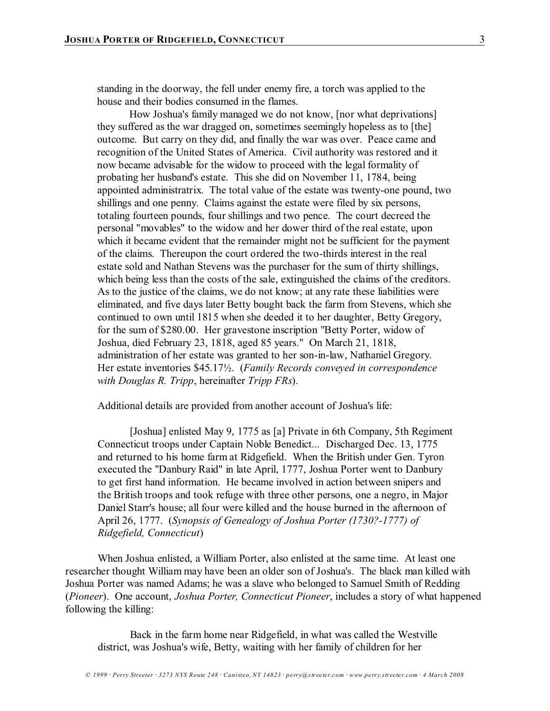standing in the doorway, the fell under enemy fire, a torch was applied to the house and their bodies consumed in the flames.

How Joshua's family managed we do not know, [nor what deprivations] they suffered as the war dragged on, sometimes seemingly hopeless as to [the] outcome. But carry on they did, and finally the war was over. Peace came and recognition of the United States of America. Civil authority was restored and it now became advisable for the widow to proceed with the legal formality of probating her husband's estate. This she did on November 11, 1784, being appointed administratrix. The total value of the estate was twenty-one pound, two shillings and one penny. Claims against the estate were filed by six persons, totaling fourteen pounds, four shillings and two pence. The court decreed the personal "movables" to the widow and her dower third of the real estate, upon which it became evident that the remainder might not be sufficient for the payment of the claims. Thereupon the court ordered the two-thirds interest in the real estate sold and Nathan Stevens was the purchaser for the sum of thirty shillings, which being less than the costs of the sale, extinguished the claims of the creditors. As to the justice of the claims, we do not know; at any rate these liabilities were eliminated, and five days later Betty bought back the farm from Stevens, which she continued to own until 1815 when she deeded it to her daughter, Betty Gregory, for the sum of \$280.00. Her gravestone inscription "Betty Porter, widow of Joshua, died February 23, 1818, aged 85 years." On March 21, 1818, administration of her estate was granted to her son-in-law, Nathaniel Gregory. Her estate inventories \$45.17½. (*Family Records conveyed in correspondence with Douglas R. Tripp*, hereinafter *Tripp FRs*).

Additional details are provided from another account of Joshua's life:

[Joshua] enlisted May 9, 1775 as [a] Private in 6th Company, 5th Regiment Connecticut troops under Captain Noble Benedict... Discharged Dec. 13, 1775 and returned to his home farm at Ridgefield. When the British under Gen. Tyron executed the "Danbury Raid" in late April, 1777, Joshua Porter went to Danbury to get first hand information. He became involved in action between snipers and the British troops and took refuge with three other persons, one a negro, in Major Daniel Starr's house; all four were killed and the house burned in the afternoon of April 26, 1777. (*Synopsis of Genealogy of Joshua Porter (1730?-1777) of Ridgefield, Connecticut*)

When Joshua enlisted, a William Porter, also enlisted at the same time. At least one researcher thought William may have been an older son of Joshua's. The black man killed with Joshua Porter was named Adams; he was a slave who belonged to Samuel Smith of Redding (*Pioneer*). One account, *Joshua Porter, Connecticut Pioneer*, includes a story of what happened following the killing:

Back in the farm home near Ridgefield, in what was called the Westville district, was Joshua's wife, Betty, waiting with her family of children for her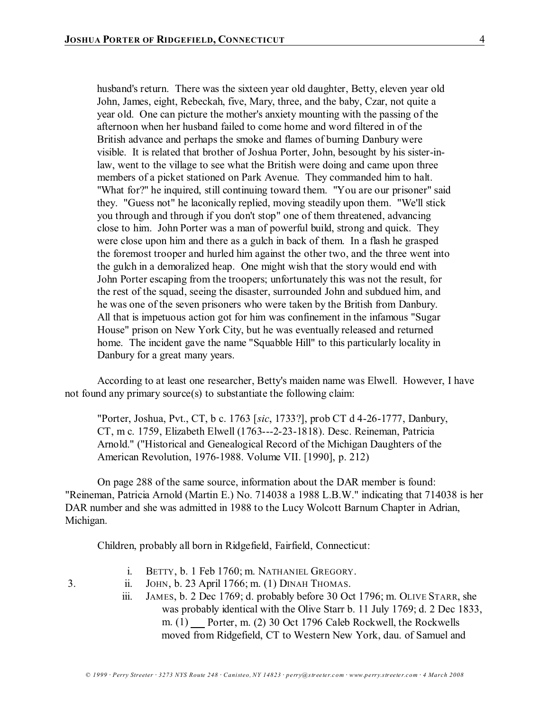husband's return. There was the sixteen year old daughter, Betty, eleven year old John, James, eight, Rebeckah, five, Mary, three, and the baby, Czar, not quite a year old. One can picture the mother's anxiety mounting with the passing of the afternoon when her husband failed to come home and word filtered in of the British advance and perhaps the smoke and flames of burning Danbury were visible. It is related that brother of Joshua Porter, John, besought by his sister-inlaw, went to the village to see what the British were doing and came upon three members of a picket stationed on Park Avenue. They commanded him to halt. "What for?" he inquired, still continuing toward them. "You are our prisoner" said they. "Guess not" he laconically replied, moving steadily upon them. "We'll stick you through and through if you don't stop" one of them threatened, advancing close to him. John Porter was a man of powerful build, strong and quick. They were close upon him and there as a gulch in back of them. In a flash he grasped the foremost trooper and hurled him against the other two, and the three went into the gulch in a demoralized heap. One might wish that the story would end with John Porter escaping from the troopers; unfortunately this was not the result, for the rest of the squad, seeing the disaster, surrounded John and subdued him, and he was one of the seven prisoners who were taken by the British from Danbury. All that is impetuous action got for him was confinement in the infamous "Sugar House" prison on New York City, but he was eventually released and returned home. The incident gave the name "Squabble Hill" to this particularly locality in Danbury for a great many years.

According to at least one researcher, Betty's maiden name was Elwell. However, I have not found any primary source(s) to substantiate the following claim:

"Porter, Joshua, Pvt., CT, b c. 1763 [*sic*, 1733?], prob CT d 4-26-1777, Danbury, CT, m c. 1759, Elizabeth Elwell (1763---2-23-1818). Desc. Reineman, Patricia Arnold." ("Historical and Genealogical Record of the Michigan Daughters of the American Revolution, 1976-1988. Volume VII. [1990], p. 212)

On page 288 of the same source, information about the DAR member is found: "Reineman, Patricia Arnold (Martin E.) No. 714038 a 1988 L.B.W." indicating that 714038 is her DAR number and she was admitted in 1988 to the Lucy Wolcott Barnum Chapter in Adrian, Michigan.

Children, probably all born in Ridgefield, Fairfield, Connecticut:

- i. BETTY, b. 1 Feb 1760; m. NATHANIEL GREGORY.
- 3. ii. JOHN, b. 23 April 1766; m. (1) DINAH THOMAS.
	- iii. JAMES, b. 2 Dec 1769; d. probably before 30 Oct 1796; m. OLIVE STARR, she was probably identical with the Olive Starr b. 11 July 1769; d. 2 Dec 1833, m. (1) Porter, m. (2) 30 Oct 1796 Caleb Rockwell, the Rockwells moved from Ridgefield, CT to Western New York, dau. of Samuel and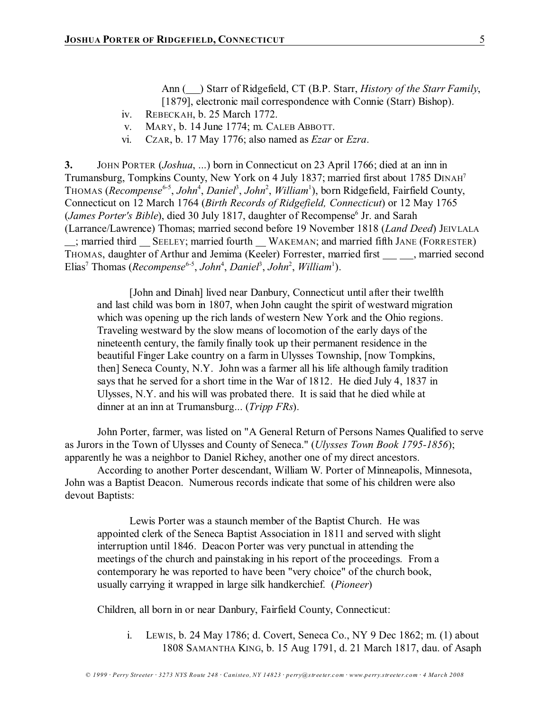Ann (
) Starr of Ridgefield, CT (B.P. Starr, *History of the Starr Family*, [1879], electronic mail correspondence with Connie (Starr) Bishop).

- iv. REBECKAH, b. 25 March 1772.
- v. MARY, b. 14 June 1774; m. CALEB ABBOTT.
- vi. CZAR, b. 17 May 1776; also named as *Ezar* or *Ezra*.

**3.** JOHN PORTER (*Joshua*, ...) born in Connecticut on 23 April 1766; died at an inn in Trumansburg, Tompkins County, New York on 4 July 1837; married first about 1785 DINAH<sup>7</sup> THOMAS (*Recompense<sup>6-5</sup>, John<sup>4</sup>, Daniel<sup>3</sup>, John<sup>2</sup>, William<sup>1</sup>), born Ridgefield, Fairfield County,* Connecticut on 12 March 1764 (*Birth Records of Ridgefield, Connecticut*) or 12 May 1765 (James Porter's Bible), died 30 July 1817, daughter of Recompense<sup>6</sup> Jr. and Sarah (Larrance/Lawrence) Thomas; married second before 19 November 1818 (*Land Deed*) JEIVLALA ; married third SEELEY; married fourth WAKEMAN; and married fifth JANE (FORRESTER) THOMAS, daughter of Arthur and Jemima (Keeler) Forrester, married first , married second Elias<sup>7</sup> Thomas (*Recompense*<sup>6-5</sup>, *John*<sup>4</sup>, *Daniel*<sup>3</sup>, *John*<sup>2</sup>, *William*<sup>1</sup>).

[John and Dinah] lived near Danbury, Connecticut until after their twelfth and last child was born in 1807, when John caught the spirit of westward migration which was opening up the rich lands of western New York and the Ohio regions. Traveling westward by the slow means of locomotion of the early days of the nineteenth century, the family finally took up their permanent residence in the beautiful Finger Lake country on a farm in Ulysses Township, [now Tompkins, then] Seneca County, N.Y. John was a farmer all his life although family tradition says that he served for a short time in the War of 1812. He died July 4, 1837 in Ulysses, N.Y. and his will was probated there. It is said that he died while at dinner at an inn at Trumansburg... (*Tripp FRs*).

John Porter, farmer, was listed on "A General Return of Persons Names Qualified to serve as Jurors in the Town of Ulysses and County of Seneca." (*Ulysses Town Book 1795-1856*); apparently he was a neighbor to Daniel Richey, another one of my direct ancestors.

According to another Porter descendant, William W. Porter of Minneapolis, Minnesota, John was a Baptist Deacon. Numerous records indicate that some of his children were also devout Baptists:

Lewis Porter was a staunch member of the Baptist Church. He was appointed clerk of the Seneca Baptist Association in 1811 and served with slight interruption until 1846. Deacon Porter was very punctual in attending the meetings of the church and painstaking in his report of the proceedings. From a contemporary he was reported to have been "very choice" of the church book, usually carrying it wrapped in large silk handkerchief. (*Pioneer*)

Children, all born in or near Danbury, Fairfield County, Connecticut:

i. LEWIS, b. 24 May 1786; d. Covert, Seneca Co., NY 9 Dec 1862; m. (1) about 1808 SAMANTHA KING, b. 15 Aug 1791, d. 21 March 1817, dau. of Asaph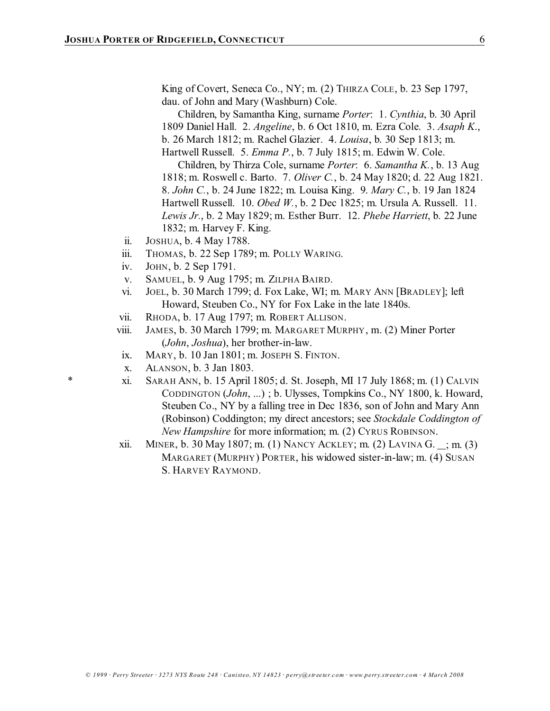King of Covert, Seneca Co., NY; m. (2) THIRZA COLE, b. 23 Sep 1797, dau. of John and Mary (Washburn) Cole.

Children, by Samantha King, surname *Porter*: 1. *Cynthia*, b. 30 April 1809 Daniel Hall. 2. *Angeline*, b. 6 Oct 1810, m. Ezra Cole. 3. *Asaph K*., b. 26 March 1812; m. Rachel Glazier. 4. *Louisa*, b. 30 Sep 1813; m. Hartwell Russell. 5. *Emma P.*, b. 7 July 1815; m. Edwin W. Cole.

Children, by Thirza Cole, surname *Porter*: 6. *Samantha K.*, b. 13 Aug 1818; m. Roswell c. Barto. 7. *Oliver C.*, b. 24 May 1820; d. 22 Aug 1821. 8. *John C.*, b. 24 June 1822; m. Louisa King. 9. *Mary C.*, b. 19 Jan 1824 Hartwell Russell. 10. *Obed W.*, b. 2 Dec 1825; m. Ursula A. Russell. 11. *Lewis Jr.*, b. 2 May 1829; m. Esther Burr. 12. *Phebe Harriett*, b. 22 June 1832; m. Harvey F. King.

- ii. JOSHUA, b. 4 May 1788.
- iii. THOMAS, b. 22 Sep 1789; m. POLLY WARING.
- iv. JOHN, b. 2 Sep 1791.
- v. SAMUEL, b. 9 Aug 1795; m. ZILPHA BAIRD.
- vi. JOEL, b. 30 March 1799; d. Fox Lake, WI; m. MARY ANN [BRADLEY]; left Howard, Steuben Co., NY for Fox Lake in the late 1840s.
- vii. RHODA, b. 17 Aug 1797; m. ROBERT ALLISON.
- viii. JAMES, b. 30 March 1799; m. MARGARET MURPHY, m. (2) Miner Porter (*John*, *Joshua*), her brother-in-law.
- ix. MARY, b. 10 Jan 1801; m. JOSEPH S. FINTON.
- x. ALANSON, b. 3 Jan 1803.
- \* xi. SARAH ANN, b. 15 April 1805; d. St. Joseph, MI 17 July 1868; m. (1) CALVIN CODDINGTON (*John*, ...) ; b. Ulysses, Tompkins Co., NY 1800, k. Howard, Steuben Co., NY by a falling tree in Dec 1836, son of John and Mary Ann (Robinson) Coddington; my direct ancestors; see *Stockdale Coddington of New Hampshire* for more information; m. (2) CYRUS ROBINSON.
	- xii. MINER, b. 30 May 1807; m. (1) NANCY ACKLEY; m. (2) LAVINA G.  $\therefore$  m. (3) MARGARET (MURPHY) PORTER, his widowed sister-in-law; m. (4) SUSAN S. HARVEY RAYMOND.